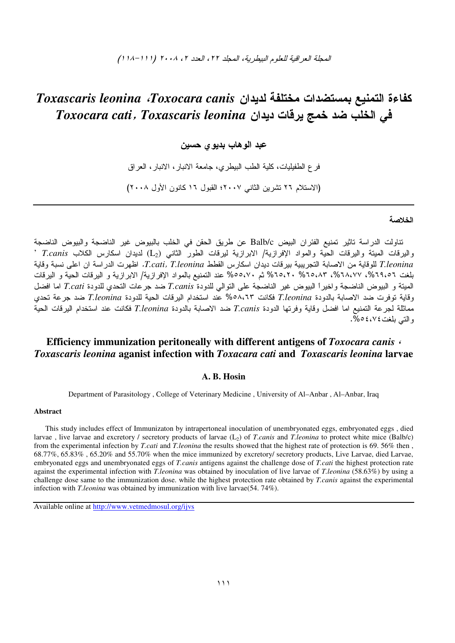# *Toxascaris leonina Toxocara canis*   - *Toxocara cati*, *Toxascaris leonina*

## عبد الوهاب بديوى حسين

فر ع الطفيليات، كلية الطب البيطري، جامعة الانبار ، الانبار ، العراق (الاستلام ٢٦ تشرين الثاني ٢٠٠٧؛ القبول ١٦ كانون الأول ٢٠٠٨)

#### الخلاصة

نتاولت الدراسة تاثير تمنيع الفئران البيض Balb/c عن طريق الحقن في الخلب بالبيوض غير الناضجة والبيوض الناضجة واليرقات الميتة واليرقات الحية والمواد الإفرازية/ الابرازية ليرقات الطور الثاني (L<sub>2</sub>) لديدان اسكارس الكلاب *T.canis* <sup>,</sup> T.leonina للوقاية من الاصابة التجريبية بيرقات ديدان اسكارس القطط T.cati, T.leonina. اظهرت الدراسة ان اعلى نسبة وقاية بلغت ٦٥،٨٦%، ٢٥،٨٣%، ٢٥،٢٠% ثم ٢٥،٥،٧٠% غند التمنيع بالمواد الإفرازية/ الابرازية و البرقات الحية و البرقات المميتة و البيوض الناضجة واخيرا البيوض غير الناضجة على التوالي للدودة T.canis ضد جرعات التحدي للدودة T.cati اما افضل وقاية توفرت ضد الاصابة بالدودة T.leonina فكانت ٣،٢،٥٨ عند استخدام البرقات الحية للدودة T.leonina ضد جرعة تحد*ي* مماثلة لـجرعة التمنيع اما افضل وقاية وفرتها الدودة T.canis ضد الاصابة بالدودة T.leonina فكانت عند استخدام البرقات الحية و التبي بلغت ٤،٧٤ ٥%.

# **Efficiency immunization peritoneally with different antigens of** *Toxocara canis* ، *Toxascaris leonina* **aganist infection with** *Toxacara cati* **and** *Toxascaris leonina* **larvae**

### **A. B. Hosin**

Department of Parasitology , College of Veterinary Medicine , University of Al–Anbar , Al–Anbar, Iraq

#### **Abstract**

This study includes effect of Immunizaton by intrapertoneal inoculation of unembryonated eggs, embryonated eggs , died larvae , live larvae and excretory / secretory products of larvae (L2) of *T*.*canis* and *T.leonina* to protect white mice (Balb/c) from the experimental infection by *T.cati* and *T.leonina* the results showed that the highest rate of protection is 69. 56% then , 68.77%, 65.83% , 65.20% and 55.70% when the mice immunized by excretory/ secretory products, Live Larvae, died Larvae, embryonated eggs and unembryonated eggs of *T.canis* antigens against the challenge dose of *T.cati* the highest protection rate against the experimental infection with *T.leonina* was obtained by inoculation of live larvae of *T.leonina* (58.63%) by using a challenge dose same to the immunization dose. while the highest protection rate obtained by *T.canis* against the experimental infection with *T.leonina* was obtained by immunization with live larvae(54. 74%).

Available online at http://www.vetmedmosul.org/ijvs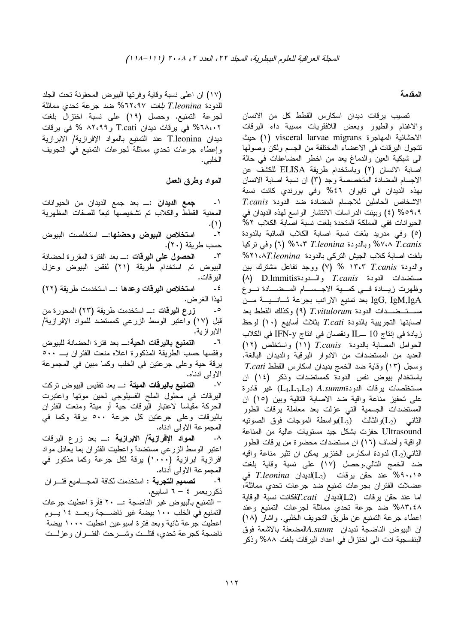#### المقدمة

تصبب يرقات ديدان اسكارس القطط كل من الانسان والاغنام والطيور وبعض اللافقريات مسببة داء البرقات الاحشائية المهاجرة visceral larvae migrans (١) حيث نتجول البرقات في الاعضاء المختلفة من الجسم ولكن وصولها الى شبكية العين والدماغ يعد من اخطر المضاعفات في حالة اصابة الانسان (٢) وباستخدام طريقة ELISA للكشف عن الاجسام المضادة المتخصصة وجد (٣) ان نسبة اصابة الانسان بهذه الديدان في تايوان ٤٦% وفي بورندي كانت نسبة الاشخاص الحاملين للاجسام المضادة ضد الدودة T.canis 09،4% (٤) وبينت الدراسات الانتشار الواسع لمهذه الديدان في الحيوانات ففي المملكة المتحدة بلغت نسبة اصابة الكلاب ٥٢% (٥) وفي مدريد بلغت نسبة اصابة الكلاب السائبة بالدودة ۷،۸ T.canis% وبالدودة T.leonina ٢،٢% (٦) وفي نركيا بلغت اصابة كلاب الجيش النركي بالدودة Y۱،۸*T.leonina* والدودة ١٣،٣ ٣،٣،٣ % (٧) ووجد تفاعل مشترك بين (A) D.lmmitiss والسدودة T.canis والسلام (A) D.lmmitiss وظهرت زيــادة فـــى كمـــية الاجــســـام المــضـــادة نـــوع IgG, IgM,IgA بعد تمنيع الارانب بجرعة ثـــانـــيــــة مـــن مستقضدات الدودة T.vitulorum (٩) وكذلك القطط بعد اصابتها التجريبية بالدودة T.cati بثلاث أسابيع (١٠) لوحظ زيادة في إنتاج IL ــــII ونقصـان في انتاج IFN-y في الكلاب الحوامل المصابة بالدودة T.canis (١١) واستخلص (١٢) العديد من المستضدات من الادوار اليرقية والديدان البالغة.  $T.cati$  وسجل (١٣) وقاية ضد الخمج بديدان اسكارس القطط باستخدام بيوض نفس الدودة كمستضدات وذكر (١٤) ان مستخلصات برقات الدودةA.summ (L<sub>4</sub>,L<sub>3</sub>,L<sub>2</sub>) غير قادرة على تحفيز مناعة واقية ضد الاصابة التالية وبين (١٥) ان المستضدات الجسمية التي عزلت بعد معاملة يرقات الطور الثانـي  $(\mathrm{L}_2)$ والثالث  $(\mathrm{L}_3)$ بواسطـة الموجات فوق الصونيه Ultrasound حفزت بشكل جيد مستويات عالية من المناعة الواقية وأضاف (١٦) ان مستضدات محضرة من يرقات الطور الثاني(L<sub>2</sub>) لدودة اسكارس الخنزير يمكن ان تثير مناعة واقيه ضد الخمج النالي.وحصل (١٧) على نسبة وقاية بلغت ه ۹۰،۱۰% عند حقن برقات  $(\mathrm{L}_2)$ لدیدان T.leonina فی عضلات الفئران بجرعات تمنيع ضد جرعات تحدي مماثلة، اما عند حقن يرقات  $(L2)$ لديدان  $T.cati$ فكانت نسبة الوقاية ٨٨٣،٤٨% ضد جرعة تحدي مماثلة لجرعات التمنيع وعند اعطاء جرعة التمنيع عن طريق النجويف الخلبي. واشار (١٨) ان البيوض الناضجة لديدان A.suumالمضعفة بالاشعة فوق البنفسجية ادت الى اختزال في اعداد اليرقات بلغت ٨٨٨% وذكر

(١٧) ان اعلى نسبة وقاية وفرتها البيوض المحقونة تحت الجلد للدودة T.leonina لبغت ١٢،٩٧% ضد جرعة تحدى مماثلة لجرعة التمنيع. وحصل (١٩) على نسبة اختزال بلغت ۲۸،۰۲% في يرقات ديدان T.cati و ۸۲،۹۹ % في يرقات ديدان T.leonina عند النمنيع بالمواد الإفرازية/ الابرازية وإعطاء جرعات تحدي مماثلة لجرعات التمنيع في التجويف الخلبي.

## المواد وطرق العمل

جمع الديدان :\_ بعد جمع الديدان من الحيوانات  $-1$ المعنية القطط والكلاب تم تشخيصها تبعا للصفات المظهرية  $.()$  $-\tau$ ا**ستخلاص البيوض وحضنها**:ـــ استخلصت البيوض حسب طريقة (٢٠). الحصول على اليرقات :\_ بعد الفترة المقررة لحضانة  $-\tau$ البيوض تم استخدام طريقة (٢١) لفقس البيوض وعزل الير قات. استخلاص اليرقات وعدها :\_ استخدمت طريقة (٢٢)  $-\xi$ لهذا الغرض. زرع اليرقات :\_ استخدمت طريقة (٢٣) المحورة من  $\overline{\phantom{a}}$ قبل (١٧) واعتبر الوسط الزرعي كمستضد للمواد الإفرازية/ الابر از ية. ا**لتمنيع باليرقات الحية:**ــــ بعد فترة الحضانة للبيوض  $-7$ يرقة حية وعلى جرعتين في الخلب وكما مبين في المجموعة الاولىي ادناه. ا**لتمنيع باليرقات الميتة :**ـــ بعد تفقيس البيوض تركت  $-<sup>1</sup>$ اليرقات في محلول الملح الفسيلوجي لحين موتها واعتبرت الحركة مقياساً لاعتبار اليرقات حية أو ميتة ومنعت الفئران باليرقات وعلى جرعتين كل جرعة ٥٠٠ يرقة وكما في المجموعة الاولى ادناه. المواد الإفرازية/ الإبرازية :ــ بعد زرع البرقات  $-\lambda$ اعتبر الوسط الزرعي مستضدأ واعطيت الفئران بما يعادل مواد افرازية ابرازية (١٠٠٠) يرقة لكل جرعة وكما مذكور في المجموعة الاولىي أدناه. **تصميم التجرية :** استخدمت لكافة المجــــاميع فئــــر ان  $-9$ ذكوربعمر ٤ – ٦ اسابيع. – التمنيع بالبيوض غير الناضجة :ــــ ٢٠ فأرة اعطيت جرعات التمنيع في الخلب ١٠٠ بيضة غير ناضــجة وبعــد ١٤ يــوم اعطيت جرعة ثانية وبعد فترة اسبوعين اعطيت ١٠٠٠ بيضة ناضجة كجرعة تحدي، فتلهت وشمرحت الفئمران وعزلمت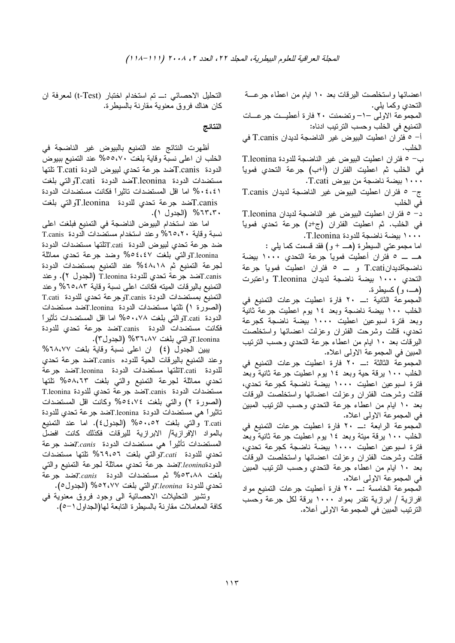اعضائها واستخلصت اليرفات بعد ١٠ ايام من اعطاء جرعـــة النحدي وكما بلي.

المجموعة الاولى –١– وتضمنت ٢٠ فارة أعطيــت جرعـــات التمنيع في الخلب وحسب الترنيب ادناه:

أ– ٥ فئر ان اعطيت البيوض غير الناضجة لديدان T.canis في الخلب.

ب- ٥ فئران اعطيت البيوض غير الناضجة للدودة T.leonina في الخلب ثم اعطيت الفئران (أ+ب) جرعة التحدي فموياً ۱۰۰۰ بيضة ناضجة من بيو ض T.cati.

ج- 0 فئران اعطيت البيوض غير الناضجة لديدان T.canis في الخلب

د- 0 فئران اعطيت البيوض غير الناضجة لديدان T.leonina في الخلب. ثم اعطيت الفئران (ج+د) جرعة تحدي فموياً ١٠٠٠ بيضة ناضجة للدودة T.leonina.

اما مجموعتي السيطرة (هــــ + و) فقد قسمت كما يلي :

هـــ ـــ ٥ فئران أعطيت فموياً جرعة التحدي ١٠٠٠ بيضة ناضجةلديدانT.cati و ـــ ٥ فئران اعطيت فموياً جرعة التحدى ١٠٠٠ بيضة ناضجة لديدان T.leonina واعتبرت (هــــ، و) كسيطرة.

الخلب ١٠٠ بيضة ناضجة وبعد ١٤ يوم اعطيت جرعة ثانية وبعد فترة اسبوعين اعطيت ١٠٠٠ بيضة ناضجة كجرعة تحدى، قتلت وشرحت الفئران وعزلت اعضائها واستخلصت اليرفات بعد ١٠ ايام من اعطاء جرعة النحدي وحسب الترنيب المبين في المجموعة الاولىي اعلاه.

الخلب ١٠٠ برقة حية وبعد ١٤ بوم اعطيت جرعة ثانية وبعد فترة اسبوعين اعطيت ١٠٠٠ بيضة ناضجة كجرعة تحدي، قتلت وشرحت الفئران وعزلت اعضائها واستخلصت البرقات بعد ١٠ ايام من اعطاء جرعة النحدي وحسب النرنيب المبين في المجموعة الاولى اعلاه.

المجموعة الرابعة :ـــ ٢٠ فارة اعطيت جرعات التمنيع في الخلب ١٠٠ برقة مينة وبعد ١٤ بوم اعطيت جرعة ثانية وبعد فترة اسبو عين اعطيت ١٠٠٠ بيضة ناضجة كجرعة تحدى، قتلت وشرحت الفئران وعزلت اعضائها واستخلصت اليرقات بعد ١٠ ايام من اعطاء جرعة التحدي وحسب الترتيب المبين في المجموعة الاولى اعلاه.

المجموعة الخامسة :ـــ ٢٠ فارة أعطيت جرعات التمنيع مواد افرازية / ابرازية تقدر بمواد ١٠٠٠ يرقة لكل جرعة وحسب الترنيب المبين في المجموعة الاولى أعلاه.

التحليل الاحصائي :ـــ تم استخدام اختبار (t-Test) لمعرفة ان كان هناك فروق معنوية مقارنة بالسيطرة.

# النتائج

أظهرت النتائج عند التمنيع بالبيوض غير الناضجة في الخلب ان اعلى نسبة وقاية بلغت ٥٥،٧٠% عند التمنيع بببوض الدودة T.canisكضد جرعة تحدي لبيوض الدودة T.cati تلتها مستضدات الدودة T.leoninaتضد الدودة T.catiو التي بلغت ٤،٤،١ % اما اقل المستضدات تاثيراً فكانت مستضدات الدودة T.canisتضد جرعة تحدي للدودة T.leoninaوالتي بلغت ٢٠،٣٠% (الجدول ١).

اما عند استخدام البيوض الناضجة في التمنيع فبلغت اعلى نسبة وقاية ٢٥،٢٠% وعند استخدام مستضدات الدودة T.canis ضد جرعة تحدي لبيوض الدودة T.catiتلتها مستضدات الدودة T.leoninaوالتي بلغت ٤٤٧% وضد جرعة تحدى مماثلة لجرعة التمنيع ثم ٤٨،١٨% عند التمنيع بمستضدات الدودة T.canis.كضد جرعة تحدي للدودة T.leonina (الجدول ٢). وعند التمنيع باليرقات الميته فكانت اعلى نسبة وقاية ٦٥،٨٣% وعند التمنيع بمستضدات الدودة T.canisوجرعة تحدى للدودة T.cati (الصورة ١) تلتها مستضدات الدودة T.leoninaتضد مستضدات) الدودة T.catiوالتي بلغت ٥٠،٧٨ اصا اقل المستضدات تأثيرا فكانت مستضدات الدودة T.canisتضد جرعة تحدي للدودة Leonina.Tوالتي بلغت ٢٦،٨٧% (الجدول٣).

يبين الجدول (٤) ان اعلى نسبة وقاية بلغت ٦٨،٧٧% وعند التمنيع بالبرقات الحية للدوده T.canisتضد جرعة تحدي للدودة T.catiتلتها مستضدات الدودة T.leoninaتضد جرعة تحدي مماثلة لجرعة التمنيع والتي بلغت ٥٨،٦٣% نلتها مستضدات الدودة T.canisتضد جرعة تحدي للدودة T.leonina (الصورة ٢) والتي بلغت ٥٤،٧٤% وكانت اقل المستضدات تاثيراً هي مستضدات الدودة T.leoninaتضد جرعة تحدي للدودة T.cati والتي بلغت ٥٠،٥٢% (الجدول٤). اما عند التمنيع بالمواد الإفرازية/ الابرازية لليرقات فكذلك كانت افضل المستضدات تأثيراً هي مستضدات الدودة T.canisتضد جرعة تحدي للدودة T.catiوالتي بلغت 1٩،٥٦% تلتها مستضدات الدودةT.leoninaتضد جرعة نحدي مماثلة لجرعة التمنيع والتبي بلغت 0۳،۸۸% ثم مستضدات الدودة T.canisتضد جرعة تحدي للدودة T.leoninaوالتي بلغت ٢،٧٧٧ه% (الجدول٥).

ونشير النحليلات الاحصائية الى وجود فروق معنوية فى كافة المعاملات مقارنة بالسيطرة النابعة لـها(الجداول١−٥).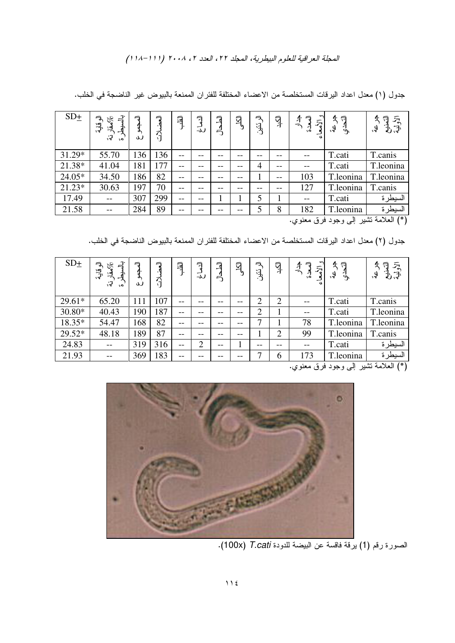| $SD_{\pm}$ | $\vec{d}$<br>الو قالية.<br>$\mathscr{E}_{\mathscr{C}}$<br>녲<br>ु<br>$\cdot$                                                                                                                                                                                                                                         | 刁<br>J | 刁<br>អ្ | 厚                 | Ę<br>ى:           | 了<br>$\frac{1}{2}$ | 习  | 刁<br>$\frac{1}{2}$ | ГŽĻ  | ᠊<br>$\frac{1}{2}$<br>$\bar{\kappa}$<br>ᅿ<br>٠ó | ぐう<br>4.<br>ή. | $\bar{\kappa}$<br>ঃৰ |  |
|------------|---------------------------------------------------------------------------------------------------------------------------------------------------------------------------------------------------------------------------------------------------------------------------------------------------------------------|--------|---------|-------------------|-------------------|--------------------|----|--------------------|------|-------------------------------------------------|----------------|----------------------|--|
| 31.29*     | 55.70                                                                                                                                                                                                                                                                                                               | 136    | 136     | $- -$             | --                | --                 |    | --                 | --   |                                                 | T.cati         | T.canis              |  |
| 21.38*     | 41.04                                                                                                                                                                                                                                                                                                               | 181    | 177     | $- -$             | --                | --                 | -- | 4                  | --   |                                                 | T.cati         | T.leonina            |  |
| 24.05*     | 34.50                                                                                                                                                                                                                                                                                                               | 186    | 82      | --                | --                | --                 |    |                    | $ -$ | 103                                             | T.leonina      | T.leonina            |  |
| 21.23*     | 30.63                                                                                                                                                                                                                                                                                                               | 197    | 70      | --                | --                | --                 |    | --                 | --   | 127                                             | T.leonina      | T.canis              |  |
| 17.49      |                                                                                                                                                                                                                                                                                                                     | 307    | 299     | $\qquad \qquad -$ | $\qquad \qquad -$ |                    |    | 5                  |      |                                                 | T.cati         | السيطرة              |  |
| 21.58      |                                                                                                                                                                                                                                                                                                                     | 284    | 89      | --                | --                |                    | -- | 5                  | 8    | 182                                             | T.leonina      | السيطرة              |  |
|            | $\frac{1}{2}$ $\frac{1}{2}$ $\frac{1}{2}$ $\frac{1}{2}$ $\frac{1}{2}$ $\frac{1}{2}$ $\frac{1}{2}$ $\frac{1}{2}$ $\frac{1}{2}$ $\frac{1}{2}$ $\frac{1}{2}$ $\frac{1}{2}$ $\frac{1}{2}$ $\frac{1}{2}$ $\frac{1}{2}$ $\frac{1}{2}$ $\frac{1}{2}$ $\frac{1}{2}$ $\frac{1}{2}$ $\frac{1}{2}$ $\frac{1}{2}$ $\frac{1}{2}$ |        |         |                   |                   |                    |    |                    |      |                                                 |                |                      |  |

جدول (١) معدل اعداد اليرقات المستخلصة من الاعضاء المختلفة للفئر ان الممنعة بالبيوض غير الناضجة في الخلب.

(\*) العلامة نشير إلى وجود فرق معنوي.

جدول (٢) معدل اعداد اليرقات المستخلصة من الاعضاء المختلفة للفئر ان الممنعة بالبيوض الناضجة في الخلب.

| $SD_{\pm}$ | $\vec{=}$<br>刁<br>$\partial_{\mathbf{z}}^{\mathbf{z}}$<br>ِهِينَ<br>په<br><u>لو:</u><br>ु<br>$\ddot{\bullet}$ | 刁<br>a٠<br>ሓ<br>J | 刁<br>អ | 耳     | 刁<br>ٮ<br>٠ω | 亍<br>ರ | 习     | 气<br>$\begin{matrix} \mathbf{1} \end{matrix}$ | ĪŅ.            | $\mathcal{P}$<br>刁<br>$\frac{4}{5}$<br>$\bar{z}$<br>⊿<br>٠ó<br>qy. | 刁<br>$\ddot{\bm{\zeta}}$<br>ी | $\bar{\bf x}$<br>刁<br>もず<br>q<br>ঃৰ |
|------------|---------------------------------------------------------------------------------------------------------------|-------------------|--------|-------|--------------|--------|-------|-----------------------------------------------|----------------|--------------------------------------------------------------------|-------------------------------|-------------------------------------|
| $29.61*$   | 65.20                                                                                                         | 111               | 107    | --    |              |        |       | າ                                             | $\overline{2}$ |                                                                    | T.cati                        | T.canis                             |
| 30.80*     | 40.43                                                                                                         | 190               | 187    | $- -$ | --           | --     | --    | $\overline{2}$                                |                | $-$                                                                | T.cati                        | T.leonina                           |
| 18.35*     | 54.47                                                                                                         | 168               | 82     | $- -$ | --           | --     | --    | ┑                                             |                | 78                                                                 | T.leonina                     | T.leonina                           |
| 29.52*     | 48.18                                                                                                         | 189               | 87     | $- -$ | --           | --     | $- -$ |                                               | $\overline{2}$ | 99                                                                 | T.leonina                     | T.canis                             |
| 24.83      |                                                                                                               | 319               | 316    | $ -$  | ↑            | --     |       | --                                            |                |                                                                    | T.cati                        | السيطرة                             |
| 21.93      |                                                                                                               | 369               | 183    | $- -$ | --           |        | --    | ┑                                             | 6              | 173                                                                | T.leonina                     | السيطرة                             |

في العلامة تشير إلى وجود فرق معنوي. "



الصورة رقم (1) يرقة فاقسة عن البيضة للدودة T.cati (100x).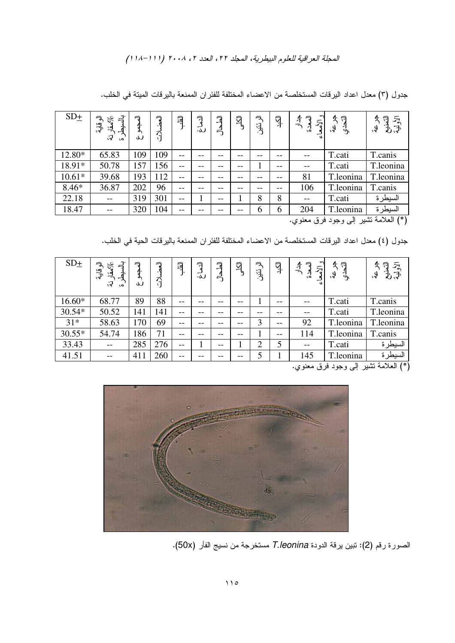| $SD_{\pm}$                                                                                           | بل<br>ا<br>へ<br>$\mathscr{E}_{\mathcal{S}}$<br>ُالِيِّ.<br>बें<br>्र<br>٠o | 刁<br>ď.<br>ى | 勻<br>う | 耳     | 刁<br>ٮ<br>لى. | 彐<br>ڮ | $\bar{P}$ | 气<br>$\mathbf{E}^{\prime}$ | ГŽ, | $\frac{4}{5}$<br>$\bar{\mathcal{S}}$<br>ا<br>ه: | ぐう<br>لۍ,<br>ुर्नु | $\bar{\mathcal{Z}}$<br>刁<br>q<br>: ব |
|------------------------------------------------------------------------------------------------------|----------------------------------------------------------------------------|--------------|--------|-------|---------------|--------|-----------|----------------------------|-----|-------------------------------------------------|--------------------|--------------------------------------|
| 12.80*                                                                                               | 65.83                                                                      | 109          | 109    | $- -$ | --            |        | --        | --                         | --  |                                                 | T.cati             | T.canis                              |
| 18.91*                                                                                               | 50.78                                                                      | 157          | 56     | --    | --            |        | --        |                            | --  |                                                 | T.cati             | T.leonina                            |
| $10.61*$                                                                                             | 39.68                                                                      | 193          | 112    | --    | --            |        |           |                            | --  | 81                                              | T.leonina          | T.leonina                            |
| $8.46*$                                                                                              | 36.87                                                                      | 202          | 96     | $- -$ | --            | --     | --        | --                         | --  | 106                                             | T.leonina          | T.canis                              |
| 22.18                                                                                                |                                                                            | 319          | 301    | $- -$ |               | $- -$  |           | 8                          | 8   | $-$                                             | T.cati             | السيطرة                              |
| 18.47                                                                                                |                                                                            | 320          | 104    | $- -$ |               |        |           | 6                          | 6   | 204                                             | T.leonina          | السيطرة                              |
| $\lambda$ in $\lambda$ is $\lambda$ in $\lambda$ in $\lambda$ in $\lambda$ in $\lambda$ in $\lambda$ |                                                                            |              |        |       |               |        |           |                            |     |                                                 |                    |                                      |

جدول (٣) معدل اعداد اليرقات المستخلصة من الاعضاء المختلفة للفئر ان الممنعة باليرقات الميتة في الخلب.

(\*) العلامة نشير إلى وجود فرق معنوي.

جدول (٤) معدل اعداد اليرقات المستخلصة من الاعضاء المختلفة للفئر ان الممنعة باليرقات الحية في الخلب.

| $SD_{\pm}$ | ने<br>刁<br>چهقار<br>ؚۣ<br>پې<br>्रं<br>$\ddot{\bullet}$ | 刁<br>a٠<br>ሓ<br>ى | 刁<br>អ្ | 闫     | 刁<br>┘<br>ل، | 亍<br>್ರ | $\bar{A}$ | 气<br>$\mathfrak{F}^{\prime}$ | آڳڍ<br>ا | $\mathcal{P}$<br>刁<br>$\frac{4}{5}$<br>$\bar{\kappa}$<br>ै | ন<br>Ŀ<br>لۍ,<br>$\mathcal{L}$ | $\bar{\mathcal{S}}$<br>ਜ਼<br>$\mathfrak{F} \rightarrow$<br>9. |
|------------|---------------------------------------------------------|-------------------|---------|-------|--------------|---------|-----------|------------------------------|----------|------------------------------------------------------------|--------------------------------|---------------------------------------------------------------|
| 16.60*     | 68.77                                                   | 89                | 88      | $- -$ |              |         | --        |                              | $- -$    |                                                            | T.cati                         | T.canis                                                       |
| 30.54*     | 50.52                                                   | 141               | 141     | $- -$ | $- -$        | --      | --        | --                           | --       |                                                            | T.cati                         | T.leonina                                                     |
| $31*$      | 58.63                                                   | 170               | 69      | $- -$ | --           | --      | --        | 3                            | $- -$    | 92                                                         | T.leonina                      | T.leonina                                                     |
| $30.55*$   | 54.74                                                   | 186               | 71      | $- -$ | --           | --      | --        |                              | $- -$    | 114                                                        | T.leonina                      | T.canis                                                       |
| 33.43      |                                                         | 285               | 276     | $- -$ |              | $- -$   |           | $\overline{2}$               | 5        | $-$                                                        | T.cati                         | السيطرة                                                       |
| 41.51      |                                                         | 411               | 260     | $- -$ | --           |         | --        |                              |          | 145                                                        | T.leonina                      | السيطرة                                                       |

(\*) العلامة نشير إلى وجود فرق معنوي.



الصورة رقم (2): نتبين برقة الدودة T.leonina مستخرجة من نسيج الفأر (50x).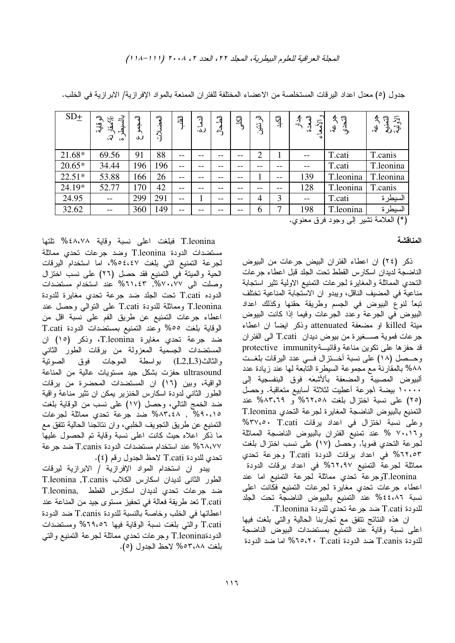| $SD_{\pm}$ | $\vec{r}$<br>へ<br>ىرى <u>مقار</u><br>ُهِيَّ<br>پ<br>्र<br>$\cdot$ | っ<br>п.<br>ى | 冖<br>วี | 闫             | 刁<br>┘<br>لى. | 戸<br>ڮ | $\bar{A}$ | 气<br>$\mathbf{E}^{\mathbf{r}}$ | ŢР.   | $\sim$<br>$\frac{4}{2}$<br>$\overline{z}$<br>ैं<br>qy | 刁<br>Ŀ.<br>لۍ,<br>$\tilde{\mathcal{F}}$ | 刁<br>$\bar{\mathbf{K}}$<br>もぎ<br>$\ddot{\bm{\theta}}$ |
|------------|-------------------------------------------------------------------|--------------|---------|---------------|---------------|--------|-----------|--------------------------------|-------|-------------------------------------------------------|-----------------------------------------|-------------------------------------------------------|
| 21.68*     | 69.56                                                             | 91           | 88      | --            | --            |        |           | $\overline{2}$                 |       |                                                       | T.cati                                  | T.canis                                               |
| $20.65*$   | 34.44                                                             | 196          | 196     | --            | --            | --     |           | --                             | --    |                                                       | T.cati                                  | T.leonina                                             |
| $22.51*$   | 53.88                                                             | 166          | 26      | $\sim$ $\sim$ | $-$           | --     | --        |                                | $- -$ | 139                                                   | T.leonina                               | T.leonina                                             |
| 24.19*     | 52.77                                                             | 170          | 42      | $- -$         | --            |        |           | --                             |       | 128                                                   | T.leonina                               | T.canis                                               |
| 24.95      | $-$                                                               | 299          | 291     | $- -$         |               | $- -$  | --        | 4                              | 3     | $-$                                                   | T.cati                                  | السيطرة                                               |
| 32.62      |                                                                   | 360          | 149     | $- -$         | --            |        |           | 6                              | 7     | 198                                                   | T.leonina                               | السيطرة                                               |
|            |                                                                   |              |         |               |               |        |           |                                |       | $\cdot$ $\cdot$                                       | $\mathbf{v}$                            | <b>Carlotte State Food State View</b>                 |

جدول (٥) معدل اعداد اليرقات المستخلصة من الاعضاء المختلفة للفئر ان الممنعة بالمواد الإفرازية/ الابرازية في الخلب.

(\*) العلامة نشير إلى وجود فرق معنوي.

#### المناقشة

ذكر (٢٤) ان اعطاء الفئران البيض جرعات من البيوض الناضجة لديدان اسكار س القطط تحت الجلد قبل اعطاء جر عات النحدي المماثلة والمغايرة لجرعات النمنيع الاولية نثير استجابة مناعية في المضيف الناقل، ويبدو ان الاستجابة المناعية تختلف تبعاً لنوع البيوض في الجسم وطريقة حقنها وكذلك اعداد البيوض في الجرعة وعدد الجرعات وفيما إذا كانت البيوض ميتة killed او مضعفة attenuated وذكر ايضاً ان اعطاء جرعات فموية صــــغيرة من بيوض ديدان T.cati الى الفئر ان قد حفزها على نكوين مناعة وقائيــةprotective\_immunity وحــصل (١٨) على نسبة أخـــنزال فـــي عدد اليرقات بلغــت ٨٨% بالمقارنة مع مجموعة السيطرة النابعة لمها عند زيادة عدد ألبيوض المصيبة والمضعفة بألأشعه فوق البنفسجية إلى ١٠٠٠٠ بيضة اجرعة أعطيت لثلاثة أسابيع متعاقبة. وحصل (٢٥) على نسبة اختزال بلغت ٢٥،٢،٥٨ و ٨٣،٦٩% عند التمنيع بالبيوض الناضجة المغايرة لجرعة التحدي T.leonina وعلى نسبة اختزال في اعداد برفات T.cati% و٧٠،١٦ % عند تمنيع الفئران بالبيوض الناضجة المماثلة لجرعة النحدي فمويًا. وحصل (١٧) على نسب اختزال بلغت 50،٢٢% في اعداد برقات الدودة T.cati وجرعة تحدى مماثلة لجرعة التمنيع ٦٢،٩٧% في اعداد يرقات الدودة T.leoninaوجرعة تحدى مماثلة لجرعة التمنيع اما عند اعطاء جرعات تحدي مغايرة لجرعات التمنيع فكانت اعلى نسبة ٤٤،٨٦% عند النمنيع بالبيوض الناضجة تحت الجلد للدودة T.cati ضد جرعة تحدي للدودة T.leonina.

ان هذه النتائج نتفق مع نجاربنا الحالية والتي بلغت فيها اعلى نسبة وقاية عند التمنيع بمستضدات البيوض الناضجة للدودة T.canis ضد الدودة T.cati 670، اما ضد الدودة

T.leonina فبلغت اعلى نسبة وقاية ٤٨،٧٨% نلتها مستضدات الدودة T.leonina وضد جرعات تحدي مماثلة لجرعة التمنيع التي بلغت 62،٤٧%، اما استخدام اليرقات الحية والميتة في التمنيع فقد حصل (٢٦) على نسب اختزال وصلت الى ٧٧،٠٧٧%, ٢،١١،٤٣% عند استخدام مستضدات الدوده T.cati تحت الجلد ضد جرعة تحدي مغايرة للدودة T.leonina ومماثلة للدودة T.cati على النوالبي وحصل عند اعطاء جرعات التمنيع عن طريق الفم على نسبة اقل من الوقاية بلغت ٥٥% وعند التمنيع بمستضدات الدودة T.cati ضد جرعة تحدي مغايرة T.leonina، وذكر (١٥) ان المستضدات الجسمية المعزولة من يرقات الطور الثاني والثالث(L2,L3) بواسطة الموجات فوق الصونية ultrasound حفزت بشكل جيد مستويات عالية من المناعة الواقية، وبين (١٦) ان المستضدات المحضرة من يرقات الطور الثاني لدودة اسكارس الخنزير يمكن ان نثير مناعة واقية ضد الخمج النالبي، وحصل (١٧) على نسب من الوقاية بلغت ۰٬۸۳٬٤۸ , ۴۵۹۰٬۱۵ ضد جرعة تحدي مماثلة لجرعات التمنيع عن طريق النجويف الخلبي، وان نتائجنا الحالية نتفق مع ما ذكر اعلاه حيث كانت اعلى نسبة وقاية تم الحصول عليها 51۸،۷۷ عند استخدام مستضدات الدودة T.canis ضد جرعة تحدي للدودة T.cati لاحظ الجدول رقم (٤).

يبدو ان استخدام المواد الإفرازية / الابرازية ليرقات الطور الثاني لديدان اسكارس الكلاب T.leonina ,T.canis ضد جرعات تحدى لديدان اسكارس القطط .T.leonina T.cati تعد طريقة فعالة في تحفيز مستوى جيد من المناعة عند اعطائها في الخلب وخاصة بالنسبة للدودة T.canis ضد الدودة T.cati والتي بلغت نسبة الوقاية فيها ٦٩،٥٦% ومستضدات الدودةT.leonina وجرعات نحدي مماثلة لجرعة التمنيع والتي بلغت ٥٣،٨٨% لاحظ الجدول (٥).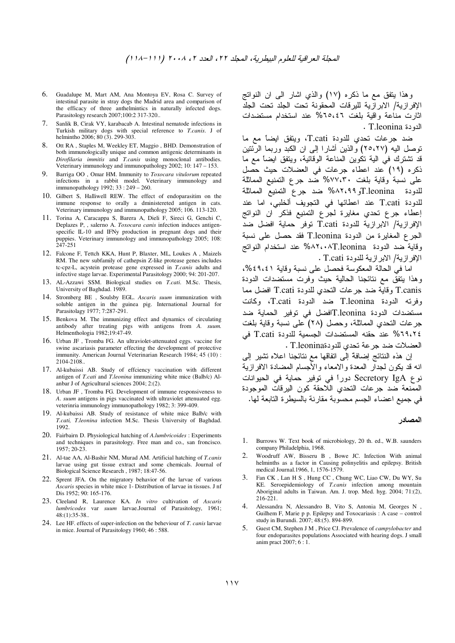- 6. Guadalupe M, Mart AM, Ana Montoya EV, Rosa C. Survey of intestinal parasite in stray dogs the Madrid area and comparison of the efficacy of three anthelmintics in naturally infected dogs. Parasitology research 2007;100:2 317-320..
- 7. Sanlik B, Cirak VY, karabacab A. Intestinal nematode infections in Turkish military dogs with special reference to *T.canis*. J of helmintho 2006; 80 (3). 299-303.
- 8. Ott RA , Staples M, Weekley ET, Maggio , BHD. Demonstration of both immunologically unique and common antigenic determinants in *Dirofilaria immitis* and *T.canis* using monoclonal antibodies. Veterinary immunology and immunopathology 2002; 10: 147 – 153.
- 9. Barriga OO , Omar HM. Immunity to *Toxocara vitulorum* repeated infections in a rabbit model. Veterinary immunology and immunopathology 1992; 33 : 249 – 260.
- 10. Gilbert S, Halliwell REW. The effect of endoparasitim on the immune response to orally a dministereted antigen in cats. Veterinary immunology and immunopathology 2005; 106. 113-120.
- 11. Torina A, Caracappa S, Barera A, Dieli F, Sireci G, Genchi C, Deplazes P, , salerno A. *Toxocara canis* infection induces antigenspecific IL-10 and IFNy production in pregnant dogs and their puppies. Veterinary immunology and immunopathology 2005; 108: 247-251
- 12. Falcone F, Tettch KKA, Hunt P, Blaxter, ML, Loukes A , Maizels RM. The new subfamily of cathepsin Z-like protease genes includes tc-cpz-L, acystein protease gene expressed in *T.canis* adults and infective stage larvae. Experimental Parasitology 2000; 94: 201-207.
- 13. AL-Azzawi SSM. Biological studies on *T.cati*. M.Sc. Thesis, University of Baghdad. 1989.
- 14. Stromberg BE , Soulsby EGL. *Ascaris suum* immunization with soluble antigen in the guinea pig. International Journal for Parasitolagy 1977; 7:287-291.
- 15. Benkova M. The immunizing effect and dynamics of circulating antibody after treating pigs with antigens from *A. suum.* Helmenthologia 1982;19:47-49.
- 16. Urban JF , Tromba FG. An ultraviolet-attenuated eggs. vaccine for swine ascariasis parameter effecting the development of protective immunity. American Journal Veterinarian Research 1984; 45 (10) : 2104-2108..
- 17. Al-kubaissi AB. Study of effciency vaccination with different antigen of *T.cati* and *T.leonina* immunizing white mice (Balb/c) Alanbar J of Agricultural sciences 2004; 2:(2).
- 18. Urban JF , Tromba FG. Development of immune responsiveness to *A*. *suum* antigens in pigs vaccinated with ultraviolet attenuated egg. veterinria immunology immunopathology 1982; 3: 399-409.
- 19. Al-kubaissi AB. Study of resistance of white mice Balb/c with *T.cati, T.leonina* infection M.Sc. Thesis University of Baghdad. 1992.
- 20. Fairbairn D. Physiological hatching of *A.lumbricoides* : Experiments and techniques in parasitology. Free man and co., san froncisco. 1957; 20-23.
- 21. Al-tae AA, Al-Bashir NM, Murad AM. Artificial hatching of *T.canis* larvae using gut tissue extract and some chemicals. Journal of Biological Science Research , 1987; 18:47-56.
- 22. Sprent JFA. On the migratory behavior of the larvae of various *Ascaris* species in white mice 1- Distribution of larvae in tissues. J nf Dis 1952; 90: 165-176.
- 23. Cleeland R, Laurence KA. *In vitro* cultivation of *Ascaris lumbricodes* var *suum* larvae.Journal of Parasitology, 1961; 48:(1):35-38..
- 24. Lee HF. effects of super-infection on the beheviour of *T. canis* larvae in mice. Journal of Parasitology 1960; 46 : 588.

وهذا يتفق مع ما ذكره (١٧) والذي اشار الـي ان النواتج الإفرازية/ الابرازية لليرقات المحقونة تحت الجلد تحت الجلد اثارت مناعة واقية بلغت ٦٥،٤٦% عند استخدام مستضدات . T.leonina الدودة

ضد جرعات تحدي للدودة T.cati، ويتفق ايضاً مع ما نوصل اليه (٢٥،٢٧) والذين أشارًا إلى ان الكبد وربما الرئتين قد تشترك في الية تكوين المناعة الوقائية، ويتفق ايضاً مع ما ذكره (١٩) عند اعطاء جرعات في العضلات حيث حصل على نسبة وقاية بلغت ٧٧،٣٠% ضد جرع التمنيع المماثلة للدودة T.leoninaو ۸۲،۹۹% ضد جرع التمنيع المماثلة للدودة T.cati عند اعطائها في النجويف ألخلبي، اما عند إعطاء جرع تحدي مغايرة لجرع التمنيع فذكر ان النواتج الإفرازية/ الابرازية للدودة T.cati توفر حماية افضل ضد الجرع المغايرة من الدودة T.leonina فقد حصل على نسبة وقاية ضد الدودة MAT،•AT.leonina% عند استخدام النواتج الإفرازية/ الابرازية للدودة T.cati .

اما في الحالة المعكوسة فحصل على نسبة وقاية ٤٩،٤٩،٤%، وهذا يتفق مع نتائجنا الحالية حيث وفرت مستضدات الدودة T.canis وقاية ضد جرعات التحدي للدودة T.cati افضل مما وفرته الدودة T.leonina ضد الدودة T.cati، وكانت مستضدات الدودة T.leoninaافضل في توفير الحماية ضد جرعات النحدي المماثلة، وحصل (٢٨) على نسبة وقاية بلغت 3 T.cati % عند حقنه المستضدات الجسمية للدودة T.cati في العضلات ضد جرعة تحدي للدودةT.leonina .

إن هذه النتائج إضافةً إلى اتفاقها مع نتائجنا اعلاه تشير إلى انه قد يكون لجدار المعدة والامعاء والأجسام المضادة الافرازية نوع Secretory IgA دوراً في توفير حماية في الحيوانات الممنعة ضد جرعات النحدي اللاحقة كون البرقات الموجودة في جميع اعضاء الجسم محسوبة مقارنة بالسيطرة التابعة لها.

## المصادر

- 1. Burrows W. Text book of microbiology, 20 th. ed., W.B. saunders company Philadelphia, 1968.
- 2. Woodruff AW, Bisseru B , Bowe JC. Infection With animal helminths as a factor in Causing polinyelitis and epilepsy. British medical Journal.1966, 1, 1576-1579.
- Fan CK, Lan H S, Hung CC, Chung WC, Liao CW, Du WY, Su KE. Seroepidemiology of *T.canis* infection among mountain Aboriginal adults in Taiwan. Am. J. trop. Med. hyg. 2004; 71:(2), 216-221.
- 4. Alessandra N, Alessandro B, Vito S, Antonia M, Georges N , Guilhem F, Marie p p. Epilepsy and Toxocariasis : A case – control study in Burundi. 2007; 48:(5). 894-899.
- 5. Guest CM, Stephen J M , Price CJ. Prevalence of *campylobacter* and four endoparasites populations Associated with hearing dogs. J small anim pract 2007; 6 : 1.